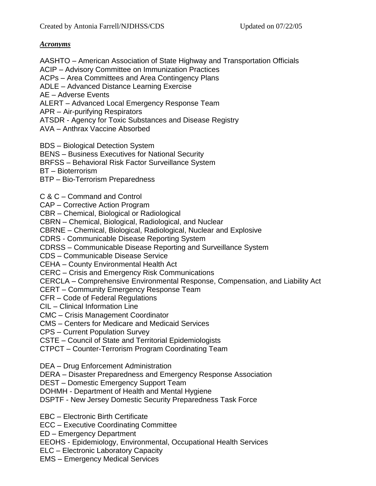#### *Acronyms*

AASHTO – American Association of State Highway and Transportation Officials

ACIP – Advisory Committee on Immunization Practices

ACPs – Area Committees and Area Contingency Plans

ADLE – Advanced Distance Learning Exercise

AE – Adverse Events

ALERT – Advanced Local Emergency Response Team

APR – Air-purifying Respirators

ATSDR - Agency for Toxic Substances and Disease Registry

AVA – Anthrax Vaccine Absorbed

BDS – Biological Detection System

BENS – Business Executives for National Security

BRFSS – Behavioral Risk Factor Surveillance System

BT – Bioterrorism

BTP – Bio-Terrorism Preparedness

- C & C Command and Control
- CAP Corrective Action Program

CBR – Chemical, Biological or Radiological

CBRN – Chemical, Biological, Radiological, and Nuclear

CBRNE – Chemical, Biological, Radiological, Nuclear and Explosive

CDRS - Communicable Disease Reporting System

CDRSS – Communicable Disease Reporting and Surveillance System

CDS – Communicable Disease Service

CEHA – County Environmental Health Act

CERC – Crisis and Emergency Risk Communications

CERCLA – Comprehensive Environmental Response, Compensation, and Liability Act

CERT – Community Emergency Response Team

CFR – Code of Federal Regulations

CIL – Clinical Information Line

CMC – Crisis Management Coordinator

CMS – Centers for Medicare and Medicaid Services

CPS – Current Population Survey

CSTE – Council of State and Territorial Epidemiologists

CTPCT – Counter-Terrorism Program Coordinating Team

DEA – Drug Enforcement Administration

DERA – Disaster Preparedness and Emergency Response Association

DEST – Domestic Emergency Support Team

DOHMH - Department of Health and Mental Hygiene

DSPTF - New Jersey Domestic Security Preparedness Task Force

EBC – Electronic Birth Certificate

ECC – Executive Coordinating Committee

ED – Emergency Department

EEOHS - Epidemiology, Environmental, Occupational Health Services

ELC – Electronic Laboratory Capacity

EMS – Emergency Medical Services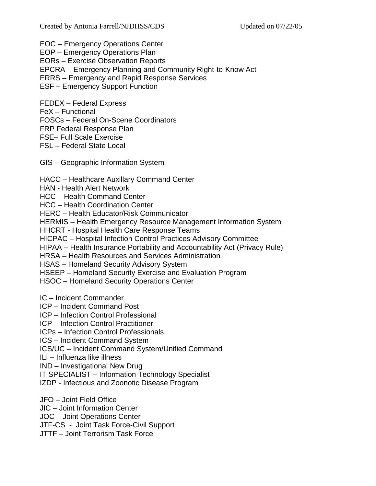EOC – Emergency Operations Center

EOP – Emergency Operations Plan

EORs – Exercise Observation Reports

EPCRA – Emergency Planning and Community Right-to-Know Act

ERRS – Emergency and Rapid Response Services

ESF – Emergency Support Function

FEDEX – Federal Express

FeX – Functional

FOSCs – Federal On-Scene Coordinators

FRP Federal Response Plan

FSE– Full Scale Exercise

FSL – Federal State Local

GIS – Geographic Information System

HACC – Healthcare Auxillary Command Center

HAN - Health Alert Network

HCC – Health Command Center

HCC – Health Coordination Center

HERC – Health Educator/Risk Communicator

HERMIS – Health Emergency Resource Management Information System

HHCRT - Hospital Health Care Response Teams

HICPAC – Hospital Infection Control Practices Advisory Committee

HIPAA – Health Insurance Portability and Accountability Act (Privacy Rule)

HRSA – Health Resources and Services Administration

HSAS – Homeland Security Advisory System

HSEEP – Homeland Security Exercise and Evaluation Program

HSOC – Homeland Security Operations Center

IC – Incident Commander

ICP – Incident Command Post

ICP – Infection Control Professional

ICP – Infection Control Practitioner

ICPs – Infection Control Professionals

ICS – Incident Command System

ICS/UC – Incident Command System/Unified Command

ILI – Influenza like illness

IND – Investigational New Drug

IT SPECIALIST – Information Technology Specialist

IZDP - Infectious and Zoonotic Disease Program

JFO – Joint Field Office

JIC – Joint Information Center

JOC – Joint Operations Center

JTF-CS - Joint Task Force-Civil Support

JTTF – Joint Terrorism Task Force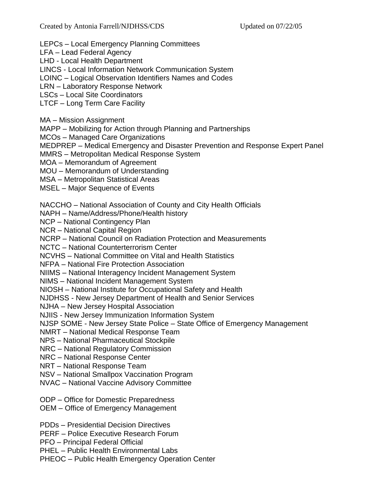LEPCs – Local Emergency Planning Committees

LFA – Lead Federal Agency

LHD - Local Health Department

LINCS - Local Information Network Communication System

LOINC – Logical Observation Identifiers Names and Codes

LRN – Laboratory Response Network

LSCs – Local Site Coordinators

LTCF – Long Term Care Facility

MA – Mission Assignment

MAPP – Mobilizing for Action through Planning and Partnerships

MCOs – Managed Care Organizations

MEDPREP – Medical Emergency and Disaster Prevention and Response Expert Panel

MMRS – Metropolitan Medical Response System

MOA – Memorandum of Agreement

MOU – Memorandum of Understanding

MSA – Metropolitan Statistical Areas

MSEL – Major Sequence of Events

NACCHO – National Association of County and City Health Officials

NAPH – Name/Address/Phone/Health history

NCP – National Contingency Plan

NCR – National Capital Region

NCRP – National Council on Radiation Protection and Measurements

NCTC – National Counterterrorism Center

NCVHS – National Committee on Vital and Health Statistics

NFPA – National Fire Protection Association

NIIMS – National Interagency Incident Management System

NIMS – National Incident Management System

NIOSH – National Institute for Occupational Safety and Health

NJDHSS - New Jersey Department of Health and Senior Services

NJHA – New Jersey Hospital Association

NJIIS - New Jersey Immunization Information System

NJSP SOME - New Jersey State Police – State Office of Emergency Management

NMRT – National Medical Response Team

NPS – National Pharmaceutical Stockpile

NRC – National Regulatory Commission

NRC – National Response Center

NRT – National Response Team

NSV – National Smallpox Vaccination Program

NVAC – National Vaccine Advisory Committee

ODP – Office for Domestic Preparedness

OEM – Office of Emergency Management

PDDs – Presidential Decision Directives

PERF – Police Executive Research Forum

PFO – Principal Federal Official

PHEL – Public Health Environmental Labs

PHEOC – Public Health Emergency Operation Center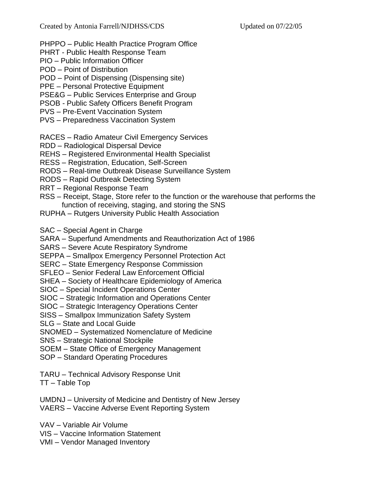- PHPPO Public Health Practice Program Office
- PHRT Public Health Response Team
- PIO Public Information Officer
- POD Point of Distribution
- POD Point of Dispensing (Dispensing site)
- PPE Personal Protective Equipment
- PSE&G Public Services Enterprise and Group
- PSOB Public Safety Officers Benefit Program
- PVS Pre-Event Vaccination System
- PVS Preparedness Vaccination System
- RACES Radio Amateur Civil Emergency Services
- RDD Radiological Dispersal Device
- REHS Registered Environmental Health Specialist
- RESS Registration, Education, Self-Screen
- RODS Real-time Outbreak Disease Surveillance System
- RODS Rapid Outbreak Detecting System
- RRT Regional Response Team
- RSS Receipt, Stage, Store refer to the function or the warehouse that performs the function of receiving, staging, and storing the SNS
- RUPHA Rutgers University Public Health Association
- SAC Special Agent in Charge
- SARA Superfund Amendments and Reauthorization Act of 1986
- SARS Severe Acute Respiratory Syndrome
- SEPPA Smallpox Emergency Personnel Protection Act
- SERC State Emergency Response Commission
- SFLEO Senior Federal Law Enforcement Official
- SHEA Society of Healthcare Epidemiology of America
- SIOC Special Incident Operations Center
- SIOC Strategic Information and Operations Center
- SIOC Strategic Interagency Operations Center
- SISS Smallpox Immunization Safety System
- SLG State and Local Guide
- SNOMED Systematized Nomenclature of Medicine
- SNS Strategic National Stockpile
- SOEM State Office of Emergency Management
- SOP Standard Operating Procedures
- TARU Technical Advisory Response Unit
- TT Table Top
- UMDNJ University of Medicine and Dentistry of New Jersey VAERS – Vaccine Adverse Event Reporting System
- VAV Variable Air Volume
- VIS Vaccine Information Statement
- VMI Vendor Managed Inventory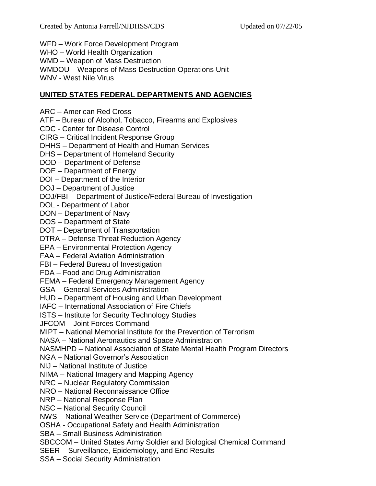WFD – Work Force Development Program

WHO – World Health Organization

WMD – Weapon of Mass Destruction

WMDOU – Weapons of Mass Destruction Operations Unit

WNV - West Nile Virus

## **UNITED STATES FEDERAL DEPARTMENTS AND AGENCIES**

ARC – American Red Cross

ATF – Bureau of Alcohol, Tobacco, Firearms and Explosives

CDC - Center for Disease Control

CIRG – Critical Incident Response Group

DHHS – Department of Health and Human Services

DHS – Department of Homeland Security

DOD – Department of Defense

DOE – Department of Energy

DOI – Department of the Interior

DOJ – Department of Justice

DOJ/FBI – Department of Justice/Federal Bureau of Investigation

DOL - Department of Labor

DON – Department of Navy

DOS – Department of State

DOT – Department of Transportation

DTRA – Defense Threat Reduction Agency

EPA – Environmental Protection Agency

FAA – Federal Aviation Administration

FBI – Federal Bureau of Investigation

FDA – Food and Drug Administration

FEMA – Federal Emergency Management Agency

GSA – General Services Administration

HUD – Department of Housing and Urban Development

IAFC – International Association of Fire Chiefs

ISTS – Institute for Security Technology Studies

JFCOM – Joint Forces Command

MIPT – National Memorial Institute for the Prevention of Terrorism

NASA – National Aeronautics and Space Administration

NASMHPD – National Association of State Mental Health Program Directors

NGA – National Governor's Association

NIJ – National Institute of Justice

NIMA – National Imagery and Mapping Agency

NRC – Nuclear Regulatory Commission

NRO – National Reconnaissance Office

NRP – National Response Plan

NSC – National Security Council

NWS – National Weather Service (Department of Commerce)

OSHA - Occupational Safety and Health Administration

SBA – Small Business Administration

SBCCOM – United States Army Soldier and Biological Chemical Command

SEER – Surveillance, Epidemiology, and End Results

SSA – Social Security Administration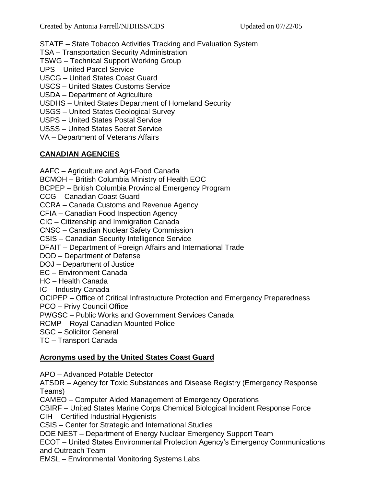STATE – State Tobacco Activities Tracking and Evaluation System

TSA – Transportation Security Administration

TSWG – Technical Support Working Group

UPS – United Parcel Service

USCG – United States Coast Guard

USCS – United States Customs Service

USDA – Department of Agriculture

USDHS – United States Department of Homeland Security

USGS – United States Geological Survey

USPS – United States Postal Service

USSS – United States Secret Service

VA – Department of Veterans Affairs

# **CANADIAN AGENCIES**

AAFC – Agriculture and Agri-Food Canada

BCMOH – British Columbia Ministry of Health EOC

BCPEP – British Columbia Provincial Emergency Program

CCG – Canadian Coast Guard

CCRA – Canada Customs and Revenue Agency

CFIA – Canadian Food Inspection Agency

CIC – Citizenship and Immigration Canada

CNSC – Canadian Nuclear Safety Commission

CSIS – Canadian Security Intelligence Service

DFAIT – Department of Foreign Affairs and International Trade

DOD – Department of Defense

DOJ – Department of Justice

EC – Environment Canada

HC – Health Canada

IC – Industry Canada

OCIPEP – Office of Critical Infrastructure Protection and Emergency Preparedness

PCO – Privy Council Office

PWGSC – Public Works and Government Services Canada

RCMP – Royal Canadian Mounted Police

SGC – Solicitor General

TC – Transport Canada

## **Acronyms used by the United States Coast Guard**

APO – Advanced Potable Detector

ATSDR – Agency for Toxic Substances and Disease Registry (Emergency Response Teams)

CAMEO – Computer Aided Management of Emergency Operations

CBIRF – United States Marine Corps Chemical Biological Incident Response Force

CIH – Certified Industrial Hygienists

CSIS – Center for Strategic and International Studies

DOE NEST – Department of Energy Nuclear Emergency Support Team

ECOT – United States Environmental Protection Agency's Emergency Communications and Outreach Team

EMSL – Environmental Monitoring Systems Labs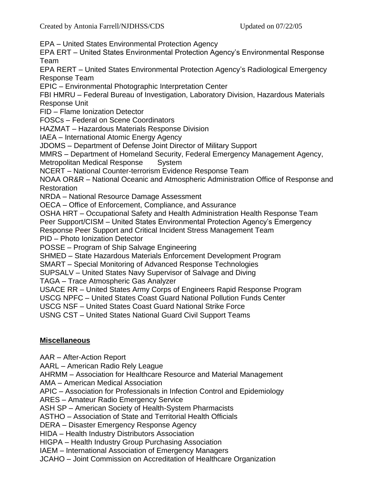EPA – United States Environmental Protection Agency

EPA ERT – United States Environmental Protection Agency's Environmental Response Team

EPA RERT – United States Environmental Protection Agency's Radiological Emergency Response Team

EPIC – Environmental Photographic Interpretation Center

FBI HMRU – Federal Bureau of Investigation, Laboratory Division, Hazardous Materials Response Unit

FID – Flame Ionization Detector

FOSCs – Federal on Scene Coordinators

HAZMAT – Hazardous Materials Response Division

IAEA – International Atomic Energy Agency

JDOMS – Department of Defense Joint Director of Military Support

MMRS – Department of Homeland Security, Federal Emergency Management Agency,

Metropolitan Medical Response System

NCERT – National Counter-terrorism Evidence Response Team

NOAA OR&R – National Oceanic and Atmospheric Administration Office of Response and **Restoration** 

NRDA – National Resource Damage Assessment

OECA – Office of Enforcement, Compliance, and Assurance

OSHA HRT – Occupational Safety and Health Administration Health Response Team

Peer Support/CISM – United States Environmental Protection Agency's Emergency

Response Peer Support and Critical Incident Stress Management Team

PID – Photo Ionization Detector

POSSE – Program of Ship Salvage Engineering

SHMED – State Hazardous Materials Enforcement Development Program

SMART – Special Monitoring of Advanced Response Technologies

SUPSALV – United States Navy Supervisor of Salvage and Diving

TAGA – Trace Atmospheric Gas Analyzer

USACE RR – United States Army Corps of Engineers Rapid Response Program

USCG NPFC – United States Coast Guard National Pollution Funds Center

USCG NSF – United States Coast Guard National Strike Force

USNG CST – United States National Guard Civil Support Teams

### **Miscellaneous**

AAR – After-Action Report

AARL – American Radio Rely League

AHRMM – Association for Healthcare Resource and Material Management

AMA – American Medical Association

APIC – Association for Professionals in Infection Control and Epidemiology

ARES – Amateur Radio Emergency Service

ASH SP – American Society of Health-System Pharmacists

ASTHO – Association of State and Territorial Health Officials

DERA – Disaster Emergency Response Agency

HIDA – Health Industry Distributors Association

HIGPA – Health Industry Group Purchasing Association

IAEM – International Association of Emergency Managers

JCAHO – Joint Commission on Accreditation of Healthcare Organization